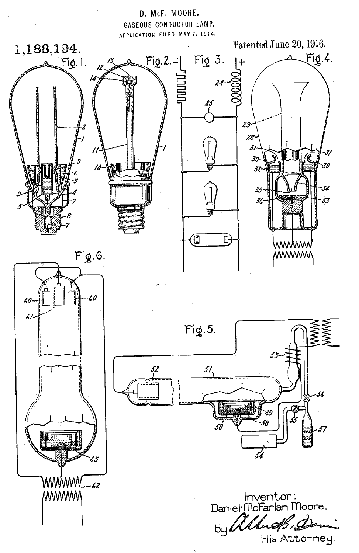

His Attorney.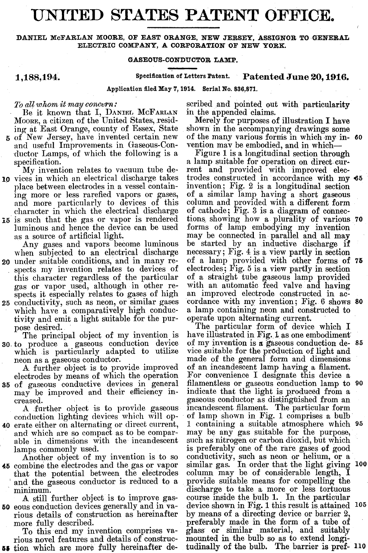## **UNITED STATES PATENT OFFICE. GATES PATE)**<br>
GE EAST ORANGE, NEW JERS<br>
MPANY, A CORPORATION OF<br>
GASEOUS-CONDUCTOR LAMP.<br>
Specification of Letters Patent.<br>
ation filed May 7, 1914. Serial No. 83

**DANIEL McFARLAN MOORE, OF EAST ORANGE, NEW JERSEY, ASSIGNOR TO GENERAL ELECTRIC COMPANY, A CORPORATION OF NEW YORK.** 

**1,188,194. Speeiflcation of Letters Patent. Patented June 20, l916.** 

**Application Aled May 7,1914. Serial No. 836,871.** 

Be it known that I, DANIEL MCFARLAN in the appended claims.<br>cone, a citizen of the United States, resid- Merely for purposes of illustration I have MOORE, a citizen of the United States, resid-<br>
ing at East Orange, county of Essex, State Shown in the accompanying drawings some ing at East Orange, county of Essex, State 5 of New Jersey, have invented certain new

- and useful Improvements in Gaseous-Con- vention mav be embodied, and in which—<br>ductor Lamps, of which the following is a Figure 1 is a longitudinal section through ductor Lamps, of which the following is a Figure 1 is a longitudinal section through specification.<br>a lamp suitable for operation on direct cur-
- **10** vices in which an electrical discharge takes trodes constructed in accordance with my **45** place between electrodes in a vessel contain- invention; Fig. 2 is a longitudinal section place between electrodes in a vessel contain- invention; Fig. 2 is a longitudinal section<br>ing more or less rarefied vapors or gases, of a similar lamp having a short gaseous and more particularly to devices of this character in which the electrical discharge **i5** is such that the gas or vapor is rendered tions, showing how a plurality of various luminous and hence the device can be used forms of lamp embodying my invention luminous and hence the device can be used

when subjected to an electrical discharge 20 under suitable conditions, and in many re-

- this character regardless of the particular of a straight tube gaseous lamp provided gas or vapor used, although in other re- with an automatic feed valve and having gas or vapor used, although in other re- with an automatic feed valve and having<br>spects it especially relates to gases of high an improved electrode constructed in ac-
- which have a comparatively high conduc- a lamp containing neon and constitutive and emit a light suitable for the pur-<br>tivity and emit a light suitable for the pur-<br>operate upon alternating current. tivity and emit a light suitable for the pur-

The principal object of my invention is **30** to produce a gaseous conduction device which is particularly adapted to utilize neon as a gaseous conductor.

**35** of gaseous conductive devices in general may be improved and their efficiency in-

conduction lighting devices which will op-<br>40 erate either on alternating or direct current,

and which are so compact as to be compar- may be any gas suitable for the purpose, able in dimensions with the incandescent such as nitrogen or carbon dioxid, but which able in dimensions with the incandescent

**45** combine the electrodes and the gas or vapor similar gas. In order that the light giving **100**  45 combine the electrodes and the gas or vapor similar gas. In order that the light giving<br>that the potential between the electrodes column may be of considerable length, I<br>and the gaseous conductor is reduced to a provide and the gaseous conductor is reduced to a

rious details of construction as hereinafter by means of a directing device or barrier 2,

66 tion which are more fully hereinafter de- tudinally of the bulb. The barrier is pref- **110** 

*I's all whom it may concern:* scribed and pointed out with particularity Be it known that I, DANIEL MCFARLAN in the appended claims.

of the many various forms in which my in- 60<br>vention may be embodied, and in which—

My invention relates to vacuum tube de- rent and provided with improved elecof a similar lamp having a short gaseous column and provided with a different form of cathode; Fig. 3 is a diagram of connec-<br>tions showing how a plurality of various 70 as a source of artificial light. may be connected in parallel and all may<br>Any gases and vapors become luminous be started by an inductive discharge if be started by an inductive discharge if<br>necessary; Fig. 4 is a view partly in section **20** under sriitable conditions, and in many re- of a lamp provided with other forms of **76**  spects my invention relates to devices of electrodes; Fig. 5 is a view partly in section spects it especially relates to gases of high an improved electrode constructed in acconductivity, such as neon, or similar gases cordance with my invention; Fig. 6 shows 80 **25** conductivity, such as neon, or similar gases cordance with my invention; Fig. **6** shows **80** 

pose desired.<br>The particular form of device which I<br>The principal object of my invention is have illustrated in Fig. 1 as one embodiment of my invention is a gaseous conduction de- 85<br>vice suitable for the production of light and made of the general form and dimensions of an incandescent lamp having a filament. A further object is to provide improved of an incandescent lamp having a filament.<br>ectrodes by means of which the operation For convenience I designate this device a electrodes by means of which the operation For convenience I designate this device a<br>of gaseous conductive devices in general filamentless or gaseous conduction lamp to 90 indicate that the light is produced from a creased. example as example as example as example to mean an example to mean and a further object is to provide gaseous incandescent filament. The particular form incandescent filament. The particular form<br>of lamp shown in Fig. 1 comprises a bulb 1 containing a suitable atmosphere which 95 may be any gas suitable for the purpose, lamps commonly used. is preferably one of the rare gases of good<br>Another object of my invention is to so conductivity, such as neon or helium, or a Another object of my invention is to so conductivity, such as neon or helium, or a minimum.<br>A still further object is to improve gas- course inside the bulb 1. In the particular A still further object is to improve gas-<br>50 eous conduction devices generally and in va-<br>device shown in Fig. 1 this result is attained device shown in Fig. 1 this result is attained  $105$ more fully described. preferably made in the form of a tube of To this end my invention comprises va- glass or similar material, and suitably To this end my invention comprises va- glass or similar material, and suitably rious novel features and details of construc- mounted in the bulb so as to extend longition which are more fully hereinafter de- tudinally of t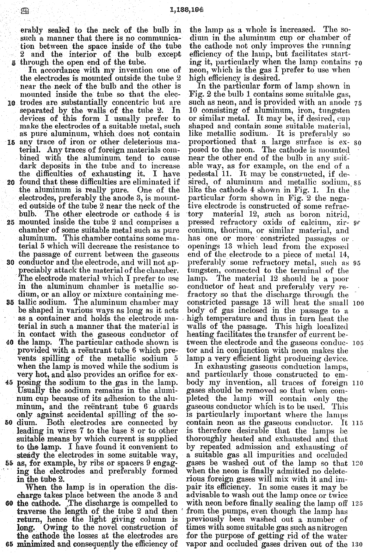erably sealed to the neck of the bulb in such a manner that there is no communication between the space inside of the tube 2 and the interior of the bulb except 5 through the open end of the tube.

In accordance with my invention one of the electrodes is mounted outside the tube 2 near the neck of the bulb and the other is mounted inside the tube so that the elec-10 trodes are substantially concentric but are separated by the walls of the tube 2.  $\mathbf{I}$ n devices of this form I usually prefer to make the electrodes of a suitable metal, such as pure aluminum, which does not contain 15 any trace of iron or other deleterious material. Any traces of foreign materials combined with the aluminum tend to cause dark deposits in the tube and to increase the difficulties of exhausting it. I have 20 found that these difficulties are eliminated if the aluminum is really pure. One of the electrodes, preferably the anode 3, is mounted outside of the tube 2 near the neck of the bulb. The other electrode or cathode 4 is 25 mounted inside the tube 2 and comprises a chamber of some suitable metal such as pure aluminum. This chamber contains some material 5 which will decrease the resistance to the passage of current between the gaseous **30** conductor and the electrode, and will not appreciably attack the material of the chamber.<br>The electrode material which I prefer to use

- in the aluminum chamber is metallic sodium, or an alloy or mixture containing metallic sodium. The aluminum chamber may 35 be shaped in various ways as long as it acts
- as a container and holds the electrode material in such a manner that the material is in contact with the gaseous conductor of 40 the lamp. The particular cathode shown is
- provided with a reëntrant tube 6 which prevents spilling of the metallic sodium 5 when the lamp is moved while the sodium is very hot, and also provides an orifice for exposing the sodium to the gas in the lamp.
- Usually the sodium remains in the aluminum cup because of its adhesion to the aluminum, and the reentrant tube 6 guards only against accidental spilling of the so-
- 50 dium. Both electrodes are connected by leading in wires 7 to the base 8 or to other suitable means by which current is supplied to the lamp. I have found it convenient to steady the electrodes in some suitable way, 55 as, for example, by ribs or spacers 9 engaging the electrodes and preferably formed<br>in the tube 2.

When the lamp is in operation the discharge takes place between the anode 3 and 60 the cathode. The discharge is compelled to traverse the length of the tube 2 and then return, hence the light giving column is long. Owing to the novel construction of the cathode the losses at the electrodes are 65 minimized and consequently the efficiency of

the lamp as a whole is increased. The sodium in the aluminum cup or chamber of the cathode not only improves the running efficiency of the lamp, but facilitates starting it, particularly when the lamp contains 70 neon, which is the gas I prefer to use when high efficiency is desired.

In the particular form of lamp shown in Fig. 2 the bulb 1 contains some suitable gas, such as neon, and is provided with an anode 75 10 consisting of aluminum, iron, tungsten or similar metal. It may be, if desired, cup shaped and contain some suitable material,<br>like metallic sodium. It is preferably so proportioned that a large surface is ex- so posed to the neon. The cathode is mounted near the other end of the bulb in any suitable way, as for example, on the end of a<br>pedestal 11. It may be constructed, if de-<br>sired, of aluminum and metallic sodium, 85 like the cathode 4 shown in Fig. 1. In the particular form shown in Fig. 2 the negative electrode is constructed of some refracmaterial 12, such as boron nitrid,  $_{\rm tory}$ pressed refractory oxids of calcium, zir- 90 conium, thorium, or similar material, and has one or more constricted passages or openings 13 which lead from the exposed end of the electrode to a piece of metal 14, preferably some refractory metal, such as 95 tungsten, connected to the terminal of the The material 12 should be a poor lamp. conductor of heat and preferably very refractory so that the discharge through the constricted passage 13 will heat the small 100 body of gas inclosed in the passage to a high temperature and thus in turn heat the walls of the passage. This high localized heating facilitates the transfer of current between the electrode and the gaseous conduc- 105 tor and in conjunction with neon makes the lamp a very efficient light producing device.

In exhausting gaseous conduction lamps, and particularly those constructed to embody my invention, all traces of foreign 110 gases should be removed so that when completed the lamp will contain only the<br>gaseous conductor which is to be used. This is particularly important where the lamps contain neon as the gaseous conductor. It 115 is therefore desirable that the lamps be thoroughly heated and exhausted and that by repeated admission and exhausting of a suitable gas all impurities and occluded gases be washed out of the lamp so that 120 when the neon is finally admitted no deleterious foreign gases will mix with it and im-<br>pair its efficiency. In some cases it may be advisable to wash out the lamp once or twice with neon before finally sealing the lamp off 125 from the pumps, even though the lamp has previously been washed out a number of times with some suitable gas such as nitrogen for the purpose of getting rid of the water vapor and occluded gases driven out of the 130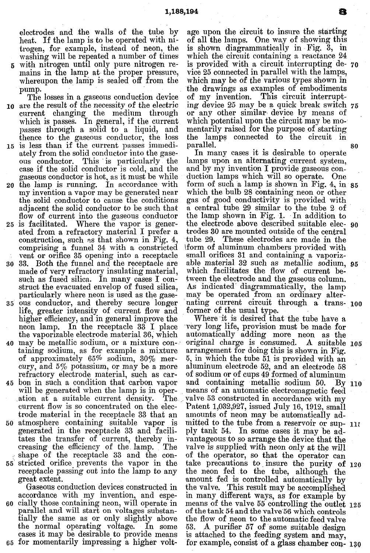electrodes and the walls of the tube by heat. If the lamp is to be operated with nitrogen, for esample, instead of neon, the washing will be repeated a number of times

**5** with nitrogen until only pure nitrogen remains in the lamp at the proper pressure, whereupon the lamp is sealed off from the pump.<br>The losses in a gaseous conduction device

- **10** are the result of the necessity of the electric current changing the medium through which is passes. In general, if the current passes through a solid to a liquid, and thence to the gaseous conductor, the loss
- 15 is less than if the current passes immediately from the solid conductor into the gaseous conductor. This is pnrticularly the case if the solid conductor is cold, and the gaseous conductor is hot, as it must be while
- 20 the lamp is running. In accordance with my invention a vapor may be generated near the solid conductor to cause the conditions adjacent the solid conductor to be such that flow of current into the gaseous conductor
- 25 is facilitated. Where the vapor is generated from a refractory material I prefer a construction, such ns that shown in Pig. 4, comprising a funnel 34 with a constricted vent or orifice 35 opening into a receptacle
- 30 33. Both the funnel and the receptacle are made of very refractory insulating material, such as fused silica. In many cases I construct the evacuated envelop of fused silica, particularly where neon is used as the gase-
- 35 ous conductor, and thereby secure longer life, greater intensity of current flow and higher efficiency, and in general improve the neon lamp. In the receptacle 33 I place the vaporizable electrode material 36, which
- 40 may be metallic sodium, or a mixture containing sodium, as for example a mixture of approximately 65% sodium, 30% mercury, and *5%* potassium, or may be a more refractory electrode material, such as car-
- 45 bon in such a condition that carbon vapor will be generated when the lamp is in operation at a suitable current density. The current flow is so concentrated on the electrode material in the receptacle 33 that an
- 50 atmosphere containing suitable vapor is generated in the receptacle 33 and facilitates the transfer of current, thereby increasing the efficiency of the lamp. The shape of the receptacle 33 and the con-
- 55 stricted orifice prevents the vapor in the receptacle passing out into the lamp to any great extent.

Gaseous conduction devices constructed in accordance with my invention, and espe-60 cially those containing neon, will operate in parallel and will start on voltages substantially the same as or only slightly above the normal operating voltage. In some cases it may be desirable to provide means 65 for momentarily impressing a higher voltage upon the circuit to insure the starting of all the lamps. One way of showing thls is shown diagrammatically in Fig. 3, in which the circuit containing a reactance 24 is provided with a circuit Interrupting de- **70**  vice 25 connected in parallel with the lamps, which may be of the various types shown in the drawings as examples of embodiments of my invention. This circuit interrupting device 25 may be a quick break switch  $75$ or any other simllar device by means of which potential upon the circuit may be momentarily raised for the purpose of starting the lamps connected to the circuit In parallel. 80

In many cases it is desirable to operate lamps upon an alternating current system, and by my invention I provide gaseous conduction lamps which will so operate. One form of such a lamp is shown in Fig. 4, in 85 which the bulb 28 containing neon or other gas of good conductivity is provided with a central tube 29 similar to the tube 2 of the lamp shown in Fig. 1. In addition to the electrode above described suitable elec- go trodes 30 are mounted outside of the central tube 29. These electrodes are made in the !form of aluminum chambers provided with small orifices **31** and containing a vaporizable material 32 such as metallic sodium, 95 which facilitates the flow of current between the electrode and the gaseous column. As indicated diagrammatically, the lamp may be operated from an ordinary alternating current circuit through a trans- loo former of the usual type.

Where it is desired that the tube have a very long life, provision must be made for automatically adding more neon as the original charge is consumed. **A** suitable 105 arrangement for doing this is shown in Fig. 5, in which the tube 51 is provided with an aluminum electrode 52, and an electrode 58 of sodium or of cups 49 formed of aluminum and containing metallic sodium 50. By 110 means of an automatic electromagnetic feed valve 53 constructed in accordance with my Patent 1,032,927, issued July 16, 1912, small amounts of neon may be automatically admitted to the tube from a reservoir or sup- 11: ply tank 54. In some cases it may be advantageous to so arrange the device that the valve is supplied with neon only at the will of the operator, so that the operator can take precautions to insure the purity of 120 the neon fed to the tube, although the amount fed is controlled automatically by the valve. This result may be accomplished in many different ways, as for example by means of the valve 55 controlling the outlet 125 of the tank 54 and the valve 56 which controls the flow of neon to the automatic feed valve 53. A purifier 57 of some suitable design is attached to the feeding system and may, for example, consist of a glass chamber con- **130**